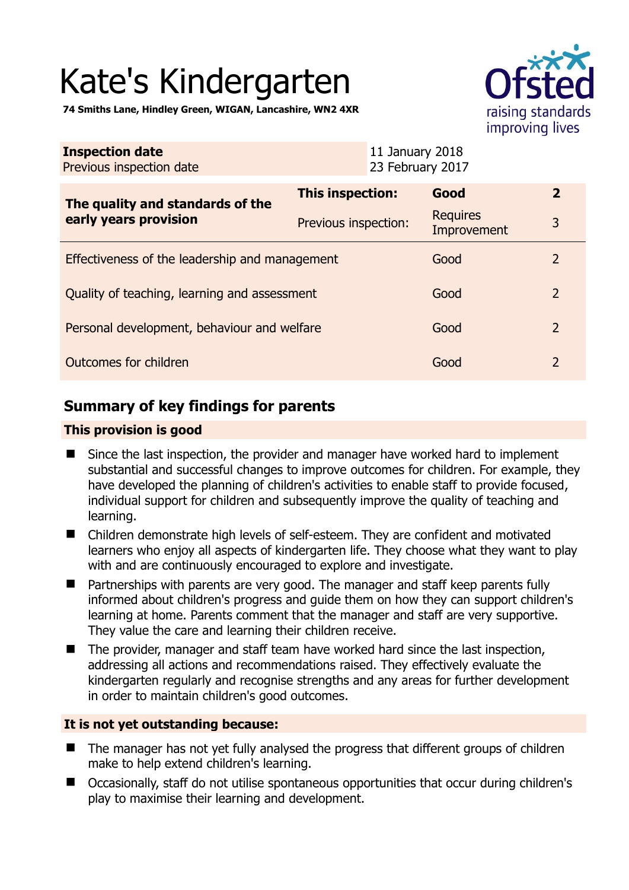# Kate's Kindergarten

**74 Smiths Lane, Hindley Green, WIGAN, Lancashire, WN2 4XR** 

| raising standards |
|-------------------|
| improving lives   |

| <b>Inspection date</b><br>Previous inspection date        | 11 January 2018<br>23 February 2017 |                                |                |
|-----------------------------------------------------------|-------------------------------------|--------------------------------|----------------|
| The quality and standards of the<br>early years provision | This inspection:                    | Good                           | $\overline{2}$ |
|                                                           | Previous inspection:                | <b>Requires</b><br>Improvement | 3              |
| Effectiveness of the leadership and management            |                                     | Good                           | 2              |
| Quality of teaching, learning and assessment              |                                     | Good                           | 2              |
| Personal development, behaviour and welfare               |                                     | Good                           | $\overline{2}$ |
| Outcomes for children                                     |                                     | Good                           | 2              |

# **Summary of key findings for parents**

## **This provision is good**

- Since the last inspection, the provider and manager have worked hard to implement substantial and successful changes to improve outcomes for children. For example, they have developed the planning of children's activities to enable staff to provide focused, individual support for children and subsequently improve the quality of teaching and learning.
- Children demonstrate high levels of self-esteem. They are confident and motivated learners who enjoy all aspects of kindergarten life. They choose what they want to play with and are continuously encouraged to explore and investigate.
- Partnerships with parents are very good. The manager and staff keep parents fully informed about children's progress and guide them on how they can support children's learning at home. Parents comment that the manager and staff are very supportive. They value the care and learning their children receive.
- The provider, manager and staff team have worked hard since the last inspection, addressing all actions and recommendations raised. They effectively evaluate the kindergarten regularly and recognise strengths and any areas for further development in order to maintain children's good outcomes.

## **It is not yet outstanding because:**

- The manager has not yet fully analysed the progress that different groups of children make to help extend children's learning.
- Occasionally, staff do not utilise spontaneous opportunities that occur during children's play to maximise their learning and development.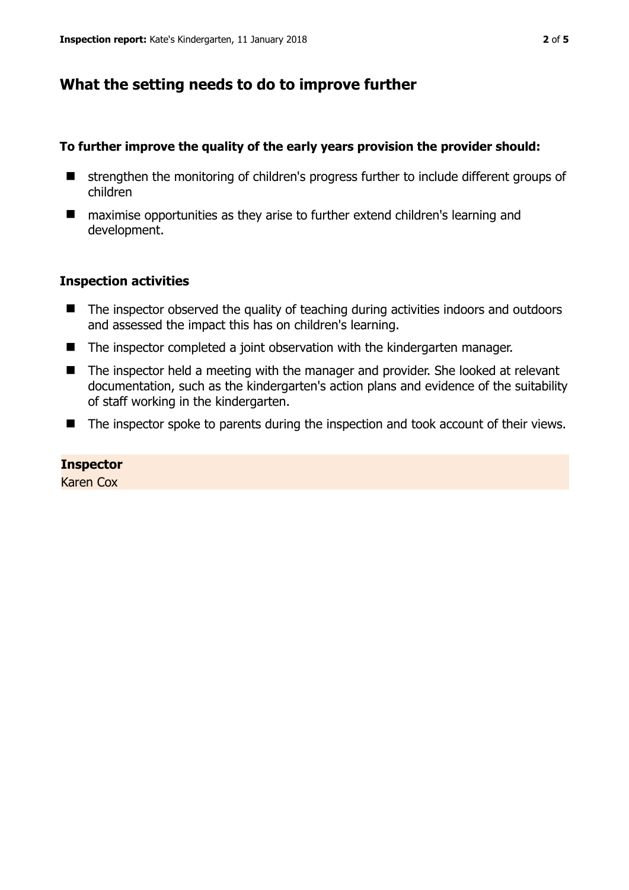# **What the setting needs to do to improve further**

## **To further improve the quality of the early years provision the provider should:**

- strengthen the monitoring of children's progress further to include different groups of children
- maximise opportunities as they arise to further extend children's learning and development.

## **Inspection activities**

- The inspector observed the quality of teaching during activities indoors and outdoors and assessed the impact this has on children's learning.
- The inspector completed a joint observation with the kindergarten manager.
- The inspector held a meeting with the manager and provider. She looked at relevant documentation, such as the kindergarten's action plans and evidence of the suitability of staff working in the kindergarten.
- The inspector spoke to parents during the inspection and took account of their views.

#### **Inspector**

Karen Cox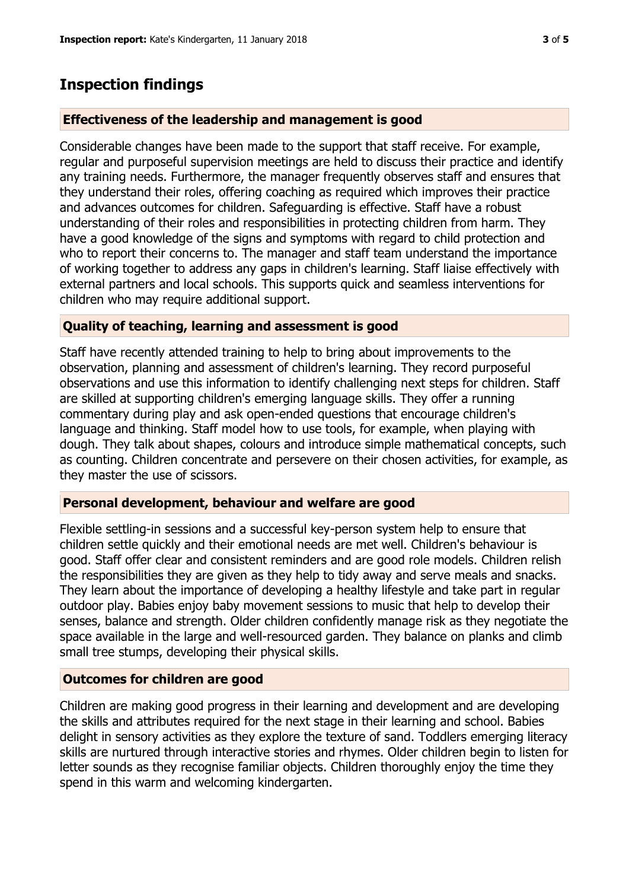# **Inspection findings**

#### **Effectiveness of the leadership and management is good**

Considerable changes have been made to the support that staff receive. For example, regular and purposeful supervision meetings are held to discuss their practice and identify any training needs. Furthermore, the manager frequently observes staff and ensures that they understand their roles, offering coaching as required which improves their practice and advances outcomes for children. Safeguarding is effective. Staff have a robust understanding of their roles and responsibilities in protecting children from harm. They have a good knowledge of the signs and symptoms with regard to child protection and who to report their concerns to. The manager and staff team understand the importance of working together to address any gaps in children's learning. Staff liaise effectively with external partners and local schools. This supports quick and seamless interventions for children who may require additional support.

#### **Quality of teaching, learning and assessment is good**

Staff have recently attended training to help to bring about improvements to the observation, planning and assessment of children's learning. They record purposeful observations and use this information to identify challenging next steps for children. Staff are skilled at supporting children's emerging language skills. They offer a running commentary during play and ask open-ended questions that encourage children's language and thinking. Staff model how to use tools, for example, when playing with dough. They talk about shapes, colours and introduce simple mathematical concepts, such as counting. Children concentrate and persevere on their chosen activities, for example, as they master the use of scissors.

#### **Personal development, behaviour and welfare are good**

Flexible settling-in sessions and a successful key-person system help to ensure that children settle quickly and their emotional needs are met well. Children's behaviour is good. Staff offer clear and consistent reminders and are good role models. Children relish the responsibilities they are given as they help to tidy away and serve meals and snacks. They learn about the importance of developing a healthy lifestyle and take part in regular outdoor play. Babies enjoy baby movement sessions to music that help to develop their senses, balance and strength. Older children confidently manage risk as they negotiate the space available in the large and well-resourced garden. They balance on planks and climb small tree stumps, developing their physical skills.

## **Outcomes for children are good**

Children are making good progress in their learning and development and are developing the skills and attributes required for the next stage in their learning and school. Babies delight in sensory activities as they explore the texture of sand. Toddlers emerging literacy skills are nurtured through interactive stories and rhymes. Older children begin to listen for letter sounds as they recognise familiar objects. Children thoroughly enjoy the time they spend in this warm and welcoming kindergarten.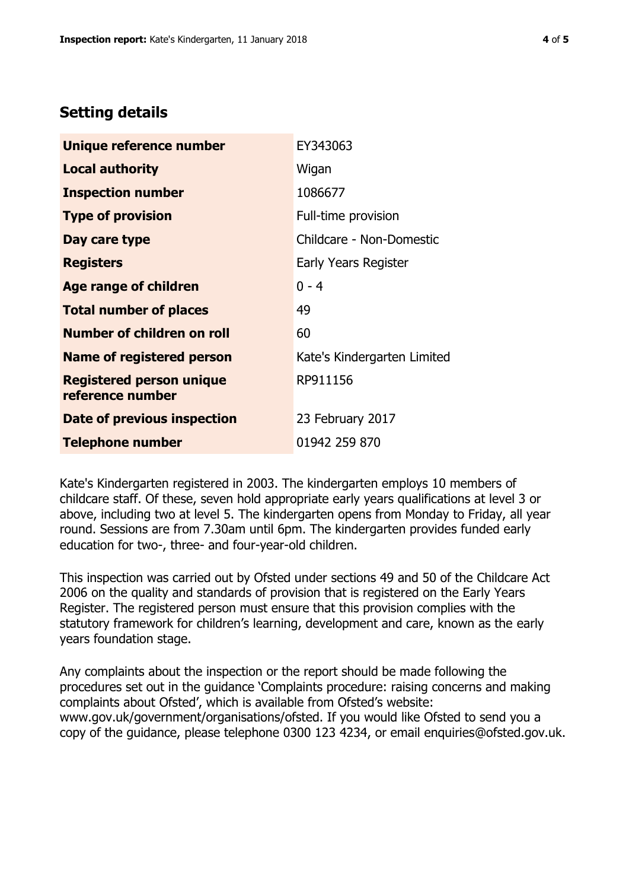# **Setting details**

| Unique reference number                             | EY343063                    |
|-----------------------------------------------------|-----------------------------|
| <b>Local authority</b>                              | Wigan                       |
| <b>Inspection number</b>                            | 1086677                     |
| <b>Type of provision</b>                            | Full-time provision         |
| Day care type                                       | Childcare - Non-Domestic    |
| <b>Registers</b>                                    | Early Years Register        |
| <b>Age range of children</b>                        | $0 - 4$                     |
| <b>Total number of places</b>                       | 49                          |
| <b>Number of children on roll</b>                   | 60                          |
| <b>Name of registered person</b>                    | Kate's Kindergarten Limited |
| <b>Registered person unique</b><br>reference number | RP911156                    |
| Date of previous inspection                         | 23 February 2017            |
| <b>Telephone number</b>                             | 01942 259 870               |

Kate's Kindergarten registered in 2003. The kindergarten employs 10 members of childcare staff. Of these, seven hold appropriate early years qualifications at level 3 or above, including two at level 5. The kindergarten opens from Monday to Friday, all year round. Sessions are from 7.30am until 6pm. The kindergarten provides funded early education for two-, three- and four-year-old children.

This inspection was carried out by Ofsted under sections 49 and 50 of the Childcare Act 2006 on the quality and standards of provision that is registered on the Early Years Register. The registered person must ensure that this provision complies with the statutory framework for children's learning, development and care, known as the early years foundation stage.

Any complaints about the inspection or the report should be made following the procedures set out in the guidance 'Complaints procedure: raising concerns and making complaints about Ofsted', which is available from Ofsted's website: www.gov.uk/government/organisations/ofsted. If you would like Ofsted to send you a copy of the guidance, please telephone 0300 123 4234, or email enquiries@ofsted.gov.uk.